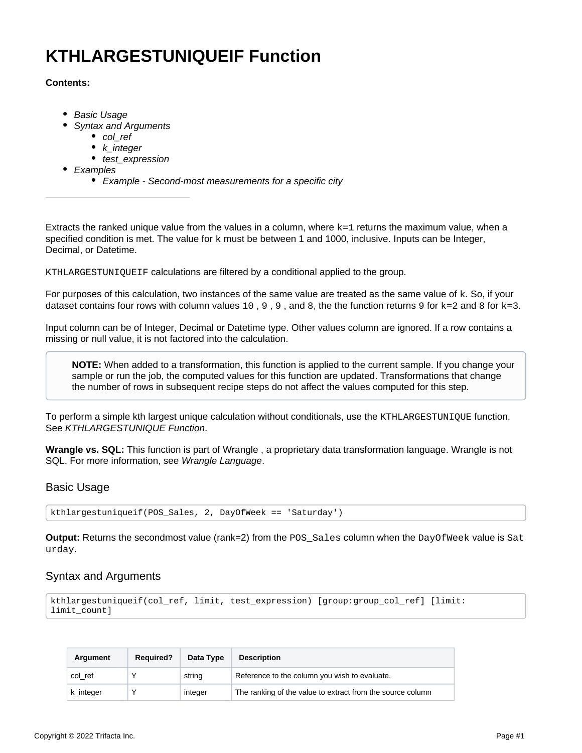# **KTHLARGESTUNIQUEIF Function**

# **Contents:**

- [Basic Usage](#page-0-0)
- [Syntax and Arguments](#page-0-1)
	- [col\\_ref](#page-1-0)
	- k integer
	- [test\\_expression](#page-1-2)
- [Examples](#page-1-3)
	- [Example Second-most measurements for a specific city](#page-1-4)

Extracts the ranked unique value from the values in a column, where  $k=1$  returns the maximum value, when a specified condition is met. The value for  $k$  must be between 1 and 1000, inclusive. Inputs can be Integer, Decimal, or Datetime.

KTHLARGESTUNIQUEIF calculations are filtered by a conditional applied to the group.

For purposes of this calculation, two instances of the same value are treated as the same value of  $k$ . So, if your dataset contains four rows with column values  $10, 9, 9$ , and 8, the the function returns 9 for  $k=2$  and 8 for  $k=3$ .

Input column can be of Integer, Decimal or Datetime type. Other values column are ignored. If a row contains a missing or null value, it is not factored into the calculation.

**NOTE:** When added to a transformation, this function is applied to the current sample. If you change your sample or run the job, the computed values for this function are updated. Transformations that change the number of rows in subsequent recipe steps do not affect the values computed for this step.

To perform a simple kth largest unique calculation without conditionals, use the KTHLARGESTUNIQUE function. See [KTHLARGESTUNIQUE Function](https://docs.trifacta.com/display/AWS/KTHLARGESTUNIQUE+Function).

**Wrangle vs. SQL:** This function is part of Wrangle , a proprietary data transformation language. Wrangle is not SQL. For more information, see [Wrangle Language](https://docs.trifacta.com/display/AWS/Wrangle+Language).

# <span id="page-0-0"></span>Basic Usage

kthlargestuniqueif(POS\_Sales, 2, DayOfWeek == 'Saturday')

**Output:** Returns the secondmost value (rank=2) from the POS\_Sales column when the DayOfWeek value is Sat urday.

# <span id="page-0-1"></span>Syntax and Arguments

```
kthlargestuniqueif(col_ref, limit, test_expression) [group:group_col_ref] [limit:
limit_count]
```

| Argument  | <b>Required?</b> | Data Type | <b>Description</b>                                         |
|-----------|------------------|-----------|------------------------------------------------------------|
| col ref   |                  | string    | Reference to the column you wish to evaluate.              |
| k integer |                  | integer   | The ranking of the value to extract from the source column |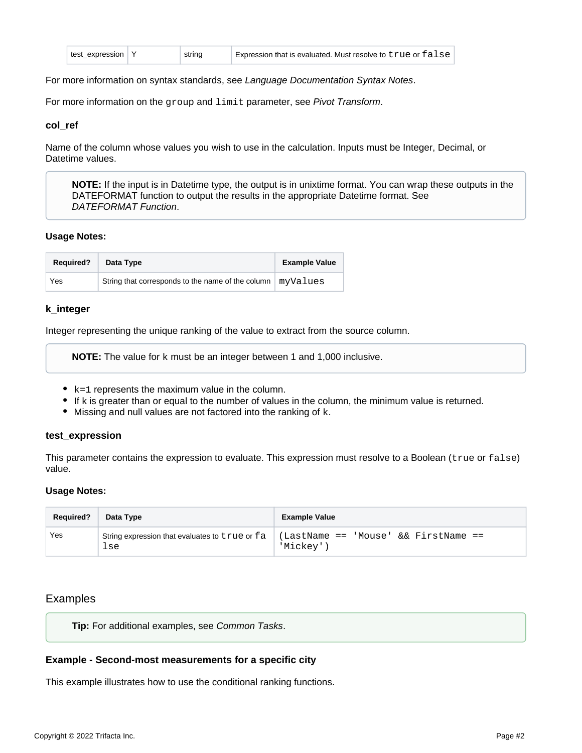For more information on syntax standards, see [Language Documentation Syntax Notes](https://docs.trifacta.com/display/AWS/Language+Documentation+Syntax+Notes).

For more information on the group and limit parameter, see [Pivot Transform](https://docs.trifacta.com/display/AWS/Pivot+Transform).

#### <span id="page-1-0"></span>**col\_ref**

Name of the column whose values you wish to use in the calculation. Inputs must be Integer, Decimal, or Datetime values.

**NOTE:** If the input is in Datetime type, the output is in unixtime format. You can wrap these outputs in the DATEFORMAT function to output the results in the appropriate Datetime format. See [DATEFORMAT Function](https://docs.trifacta.com/display/AWS/DATEFORMAT+Function).

#### **Usage Notes:**

| <b>Required?</b> | Data Type                                                    | <b>Example Value</b> |
|------------------|--------------------------------------------------------------|----------------------|
| Yes              | String that corresponds to the name of the column   myValues |                      |

## <span id="page-1-1"></span>**k\_integer**

Integer representing the unique ranking of the value to extract from the source column.

**NOTE:** The value for k must be an integer between 1 and 1,000 inclusive.

- $\bullet$  k=1 represents the maximum value in the column.
- If k is greater than or equal to the number of values in the column, the minimum value is returned.
- $\bullet$  Missing and null values are not factored into the ranking of  $k$ .

#### <span id="page-1-2"></span>**test\_expression**

This parameter contains the expression to evaluate. This expression must resolve to a Boolean (true or false) value.

#### **Usage Notes:**

| <b>Required?</b> | Data Type                                             | <b>Example Value</b>                              |
|------------------|-------------------------------------------------------|---------------------------------------------------|
| Yes              | String expression that evaluates to true or fa<br>lse | (LastName == 'Mouse' && FirstName ==<br>'Mickey'' |

# <span id="page-1-3"></span>Examples

**Tip:** For additional examples, see [Common Tasks](https://docs.trifacta.com/display/AWS/Common+Tasks).

## <span id="page-1-4"></span>**Example - Second-most measurements for a specific city**

This example illustrates how to use the conditional ranking functions.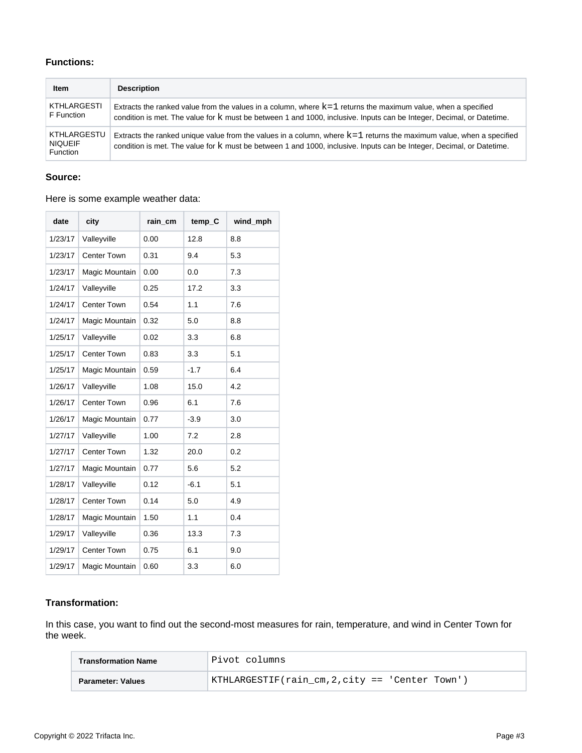# **Functions:**

| <b>Item</b>                               | <b>Description</b>                                                                                                                                                                                                                             |
|-------------------------------------------|------------------------------------------------------------------------------------------------------------------------------------------------------------------------------------------------------------------------------------------------|
| KTHLARGESTI<br>F Function                 | Extracts the ranked value from the values in a column, where $k=1$ returns the maximum value, when a specified<br>condition is met. The value for k must be between 1 and 1000, inclusive. Inputs can be Integer, Decimal, or Datetime.        |
| KTHLARGESTU<br><b>NIQUEIF</b><br>Function | Extracts the ranked unique value from the values in a column, where $k=1$ returns the maximum value, when a specified<br>condition is met. The value for k must be between 1 and 1000, inclusive. Inputs can be Integer, Decimal, or Datetime. |

## **Source:**

## Here is some example weather data:

| date    | city               | rain_cm | temp_C | wind_mph |
|---------|--------------------|---------|--------|----------|
| 1/23/17 | Valleyville        | 0.00    | 12.8   | 8.8      |
| 1/23/17 | <b>Center Town</b> | 0.31    | 9.4    | 5.3      |
| 1/23/17 | Magic Mountain     | 0.00    | 0.0    | 7.3      |
| 1/24/17 | Valleyville        | 0.25    | 17.2   | 3.3      |
| 1/24/17 | Center Town        | 0.54    | 1.1    | 7.6      |
| 1/24/17 | Magic Mountain     | 0.32    | 5.0    | 8.8      |
| 1/25/17 | Valleyville        | 0.02    | 3.3    | 6.8      |
| 1/25/17 | <b>Center Town</b> | 0.83    | 3.3    | 5.1      |
| 1/25/17 | Magic Mountain     | 0.59    | $-1.7$ | 6.4      |
| 1/26/17 | Valleyville        | 1.08    | 15.0   | 4.2      |
| 1/26/17 | Center Town        | 0.96    | 6.1    | 7.6      |
| 1/26/17 | Magic Mountain     | 0.77    | $-3.9$ | 3.0      |
| 1/27/17 | Valleyville        | 1.00    | 7.2    | 2.8      |
| 1/27/17 | <b>Center Town</b> | 1.32    | 20.0   | 0.2      |
| 1/27/17 | Magic Mountain     | 0.77    | 5.6    | 5.2      |
| 1/28/17 | Valleyville        | 0.12    | $-6.1$ | 5.1      |
| 1/28/17 | <b>Center Town</b> | 0.14    | 5.0    | 4.9      |
| 1/28/17 | Magic Mountain     | 1.50    | 1.1    | 0.4      |
| 1/29/17 | Valleyville        | 0.36    | 13.3   | 7.3      |
| 1/29/17 | Center Town        | 0.75    | 6.1    | 9.0      |
| 1/29/17 | Magic Mountain     | 0.60    | 3.3    | 6.0      |

# **Transformation:**

In this case, you want to find out the second-most measures for rain, temperature, and wind in Center Town for the week.

| <b>Transformation Name</b> | Pivot columns!                                  |
|----------------------------|-------------------------------------------------|
| Parameter: Values          | KTHLARGESTIF(rain cm, 2, city == 'Center Town') |